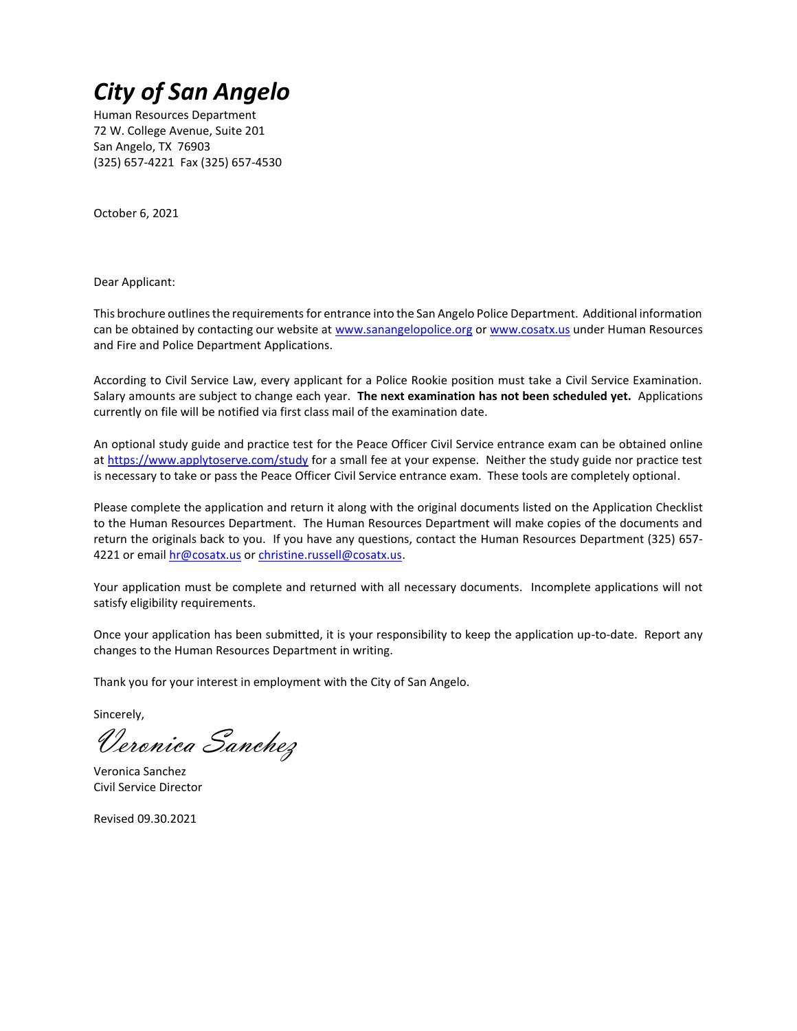# *City of San Angelo*

Human Resources Department 72 W. College Avenue, Suite 201 San Angelo, TX 76903 (325) 657-4221 Fax (325) 657-4530

October 6, 2021

Dear Applicant:

This brochure outlines the requirements for entrance into the San Angelo Police Department. Additional information can be obtained by contacting our website a[t www.sanangelopolice.org](http://www.sanangelopolice.org/) or www.cosatx.us under Human Resources and Fire and Police Department Applications.

According to Civil Service Law, every applicant for a Police Rookie position must take a Civil Service Examination. Salary amounts are subject to change each year. **The next examination has not been scheduled yet.** Applications currently on file will be notified via first class mail of the examination date.

An optional study guide and practice test for the Peace Officer Civil Service entrance exam can be obtained online a[t https://www.applytoserve.com/study](https://www.applytoserve.com/study) for a small fee at your expense. Neither the study guide nor practice test is necessary to take or pass the Peace Officer Civil Service entrance exam. These tools are completely optional.

Please complete the application and return it along with the original documents listed on the Application Checklist to the Human Resources Department. The Human Resources Department will make copies of the documents and return the originals back to you. If you have any questions, contact the Human Resources Department (325) 657 4221 or email [hr@cosatx.us](mailto:hr@cosatx.us) o[r christine.russell@cosatx.us.](mailto:christine.russell@cosatx.us)

Your application must be complete and returned with all necessary documents. Incomplete applications will not satisfy eligibility requirements.

Once your application has been submitted, it is your responsibility to keep the application up-to-date. Report any changes to the Human Resources Department in writing.

Thank you for your interest in employment with the City of San Angelo.

Sincerely,

Veronica Sanchez

Veronica Sanchez Civil Service Director

Revised 09.30.2021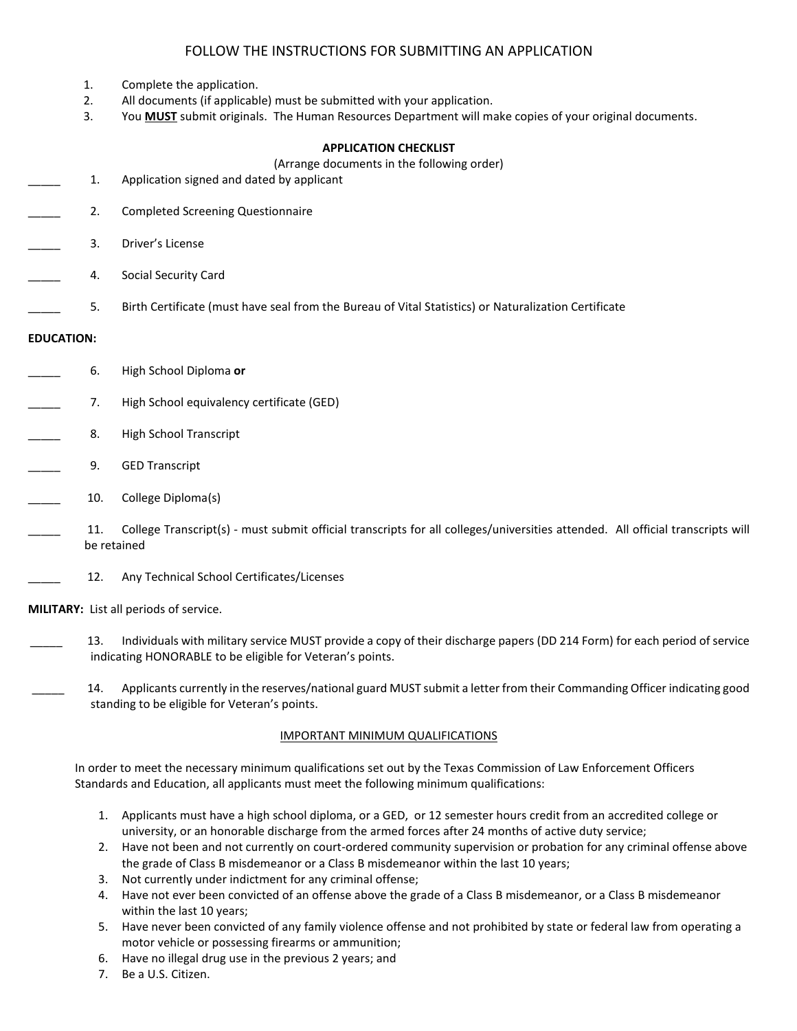# FOLLOW THE INSTRUCTIONS FOR SUBMITTING AN APPLICATION

- 1. Complete the application.
- 2. All documents (if applicable) must be submitted with your application.
- 3. You **MUST** submit originals. The Human Resources Department will make copies of your original documents.

## **APPLICATION CHECKLIST**

(Arrange documents in the following order)

- 1. Application signed and dated by applicant
- 2. Completed Screening Questionnaire
- \_\_\_\_\_ 3. Driver's License
- 4. Social Security Card
- \_\_\_\_\_ 5. Birth Certificate (must have seal from the Bureau of Vital Statistics) or Naturalization Certificate

## **EDUCATION:**

- \_\_\_\_\_ 6. High School Diploma **or**
- 7. High School equivalency certificate (GED)
- 8. High School Transcript
- 9. GED Transcript
- 10. College Diploma(s)
- \_\_\_\_\_ 11. College Transcript(s) must submit official transcripts for all colleges/universities attended. All official transcripts will be retained
	- 12. Any Technical School Certificates/Licenses

**MILITARY:** List all periods of service.

- \_\_\_\_\_ 13. Individuals with military service MUST provide a copy of their discharge papers (DD 214 Form) for each period of service indicating HONORABLE to be eligible for Veteran's points.
- 14. Applicants currently in the reserves/national guard MUST submit a letter from their Commanding Officer indicating good standing to be eligible for Veteran's points.

## IMPORTANT MINIMUM QUALIFICATIONS

In order to meet the necessary minimum qualifications set out by the Texas Commission of Law Enforcement Officers Standards and Education, all applicants must meet the following minimum qualifications:

- 1. Applicants must have a high school diploma, or a GED, or 12 semester hours credit from an accredited college or university, or an honorable discharge from the armed forces after 24 months of active duty service;
- 2. Have not been and not currently on court-ordered community supervision or probation for any criminal offense above the grade of Class B misdemeanor or a Class B misdemeanor within the last 10 years;
- 3. Not currently under indictment for any criminal offense;
- 4. Have not ever been convicted of an offense above the grade of a Class B misdemeanor, or a Class B misdemeanor within the last 10 years;
- 5. Have never been convicted of any family violence offense and not prohibited by state or federal law from operating a motor vehicle or possessing firearms or ammunition;
- 6. Have no illegal drug use in the previous 2 years; and
- 7. Be a U.S. Citizen.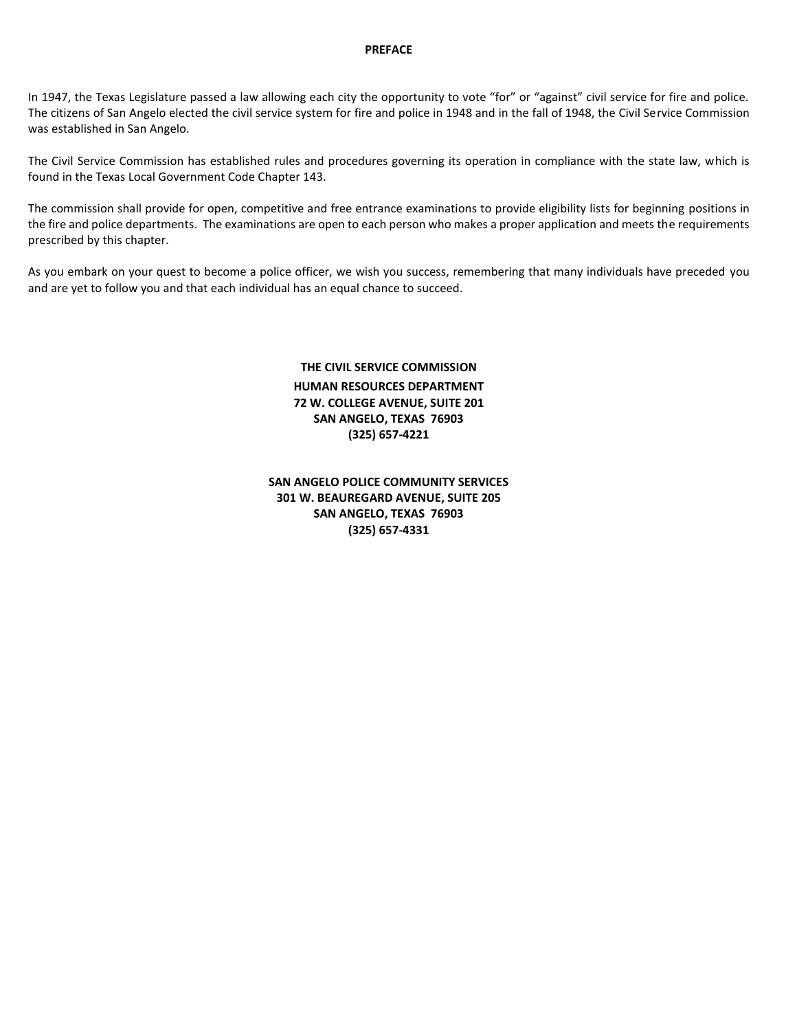### **PREFACE**

In 1947, the Texas Legislature passed a law allowing each city the opportunity to vote "for" or "against" civil service for fire and police. The citizens of San Angelo elected the civil service system for fire and police in 1948 and in the fall of 1948, the Civil Service Commission was established in San Angelo.

The Civil Service Commission has established rules and procedures governing its operation in compliance with the state law, which is found in the Texas Local Government Code Chapter 143.

The commission shall provide for open, competitive and free entrance examinations to provide eligibility lists for beginning positions in the fire and police departments. The examinations are open to each person who makes a proper application and meets the requirements prescribed by this chapter.

As you embark on your quest to become a police officer, we wish you success, remembering that many individuals have preceded you and are yet to follow you and that each individual has an equal chance to succeed.

# **THE CIVIL SERVICE COMMISSION HUMAN RESOURCES DEPARTMENT 72 W. COLLEGE AVENUE, SUITE 201 SAN ANGELO, TEXAS 76903 (325) 657-4221**

## **SAN ANGELO POLICE COMMUNITY SERVICES 301 W. BEAUREGARD AVENUE, SUITE 205 SAN ANGELO, TEXAS 76903 (325) 657-4331**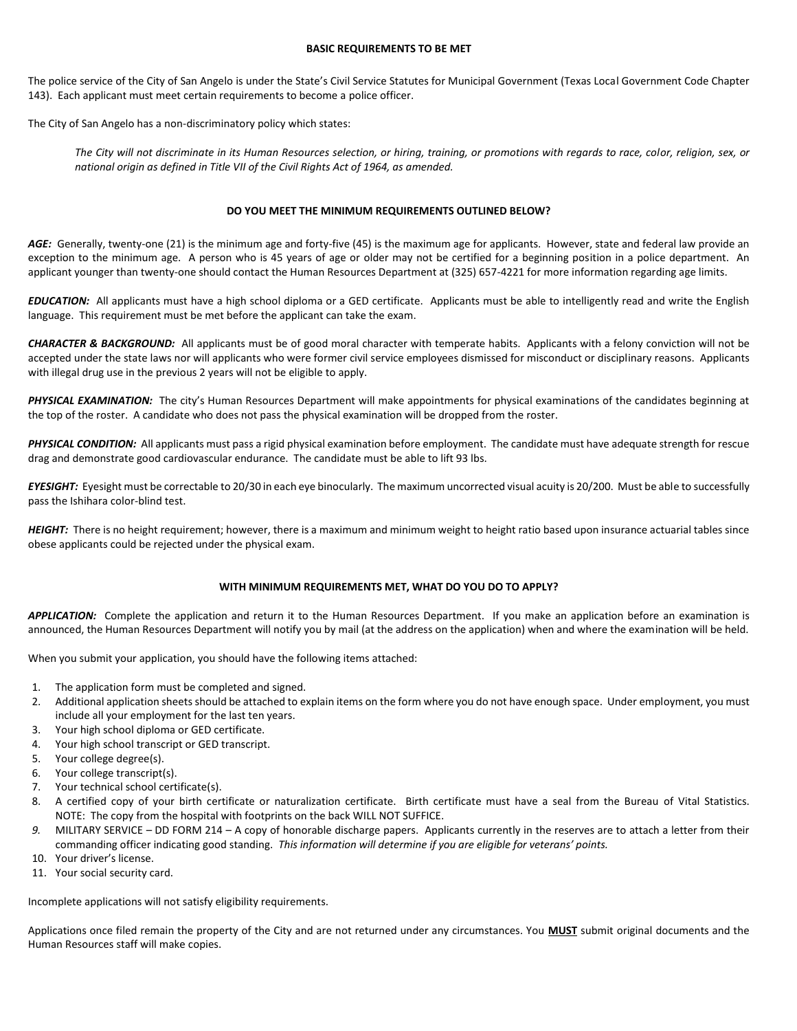#### **BASIC REQUIREMENTS TO BE MET**

The police service of the City of San Angelo is under the State's Civil Service Statutes for Municipal Government (Texas Local Government Code Chapter 143). Each applicant must meet certain requirements to become a police officer.

The City of San Angelo has a non-discriminatory policy which states:

*The City will not discriminate in its Human Resources selection, or hiring, training, or promotions with regards to race, color, religion, sex, or national origin as defined in Title VII of the Civil Rights Act of 1964, as amended.*

#### **DO YOU MEET THE MINIMUM REQUIREMENTS OUTLINED BELOW?**

AGE: Generally, twenty-one (21) is the minimum age and forty-five (45) is the maximum age for applicants. However, state and federal law provide an exception to the minimum age. A person who is 45 years of age or older may not be certified for a beginning position in a police department. An applicant younger than twenty-one should contact the Human Resources Department at (325) 657-4221 for more information regarding age limits.

*EDUCATION:* All applicants must have a high school diploma or a GED certificate. Applicants must be able to intelligently read and write the English language. This requirement must be met before the applicant can take the exam.

*CHARACTER & BACKGROUND:* All applicants must be of good moral character with temperate habits. Applicants with a felony conviction will not be accepted under the state laws nor will applicants who were former civil service employees dismissed for misconduct or disciplinary reasons. Applicants with illegal drug use in the previous 2 years will not be eligible to apply.

PHYSICAL EXAMINATION: The city's Human Resources Department will make appointments for physical examinations of the candidates beginning at the top of the roster. A candidate who does not pass the physical examination will be dropped from the roster.

*PHYSICAL CONDITION:* All applicants must pass a rigid physical examination before employment. The candidate must have adequate strength for rescue drag and demonstrate good cardiovascular endurance. The candidate must be able to lift 93 lbs.

*EYESIGHT:* Eyesight must be correctable to 20/30 in each eye binocularly. The maximum uncorrected visual acuity is 20/200. Must be able to successfully pass the Ishihara color-blind test.

*HEIGHT:* There is no height requirement; however, there is a maximum and minimum weight to height ratio based upon insurance actuarial tables since obese applicants could be rejected under the physical exam.

#### **WITH MINIMUM REQUIREMENTS MET, WHAT DO YOU DO TO APPLY?**

*APPLICATION:* Complete the application and return it to the Human Resources Department. If you make an application before an examination is announced, the Human Resources Department will notify you by mail (at the address on the application) when and where the examination will be held.

When you submit your application, you should have the following items attached:

- 1. The application form must be completed and signed.
- 2. Additional application sheets should be attached to explain items on the form where you do not have enough space. Under employment, you must include all your employment for the last ten years.
- 3. Your high school diploma or GED certificate.
- 4. Your high school transcript or GED transcript.
- 5. Your college degree(s).
- 6. Your college transcript(s).
- 7. Your technical school certificate(s).
- 8. A certified copy of your birth certificate or naturalization certificate. Birth certificate must have a seal from the Bureau of Vital Statistics. NOTE: The copy from the hospital with footprints on the back WILL NOT SUFFICE.
- *9.* MILITARY SERVICE DD FORM 214 A copy of honorable discharge papers. Applicants currently in the reserves are to attach a letter from their commanding officer indicating good standing. *This information will determine if you are eligible for veterans' points.*
- 10. Your driver's license.
- 11. Your social security card.

Incomplete applications will not satisfy eligibility requirements.

Applications once filed remain the property of the City and are not returned under any circumstances. You **MUST** submit original documents and the Human Resources staff will make copies.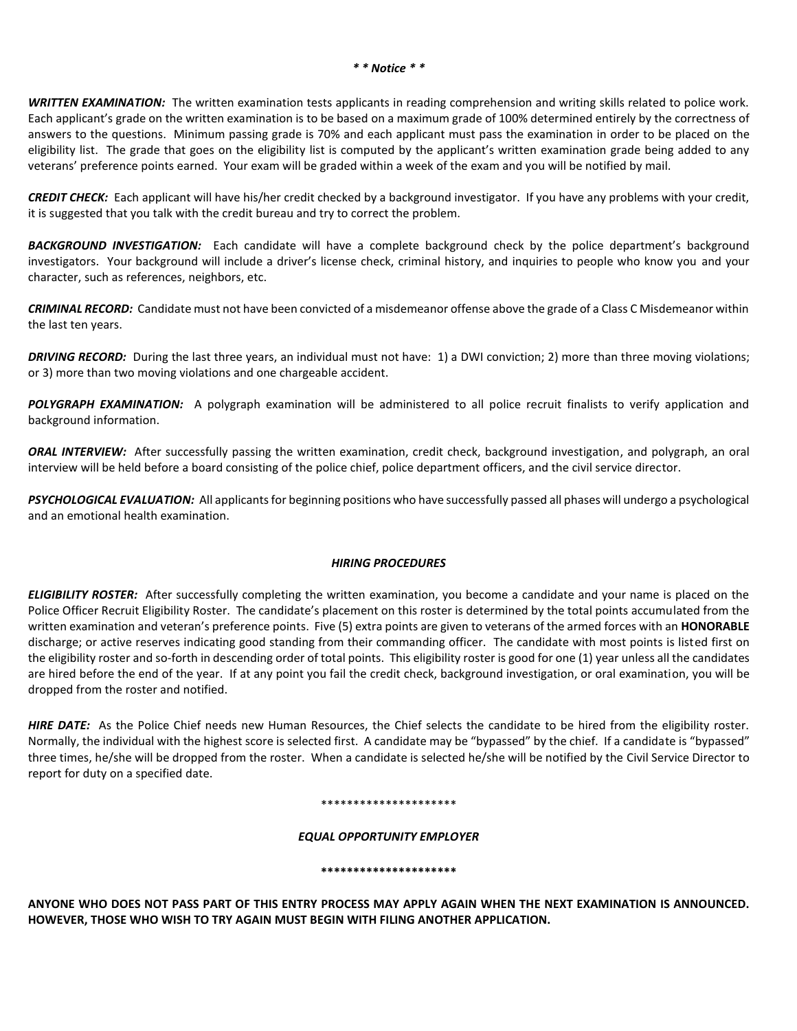*WRITTEN EXAMINATION:* The written examination tests applicants in reading comprehension and writing skills related to police work. Each applicant's grade on the written examination is to be based on a maximum grade of 100% determined entirely by the correctness of answers to the questions. Minimum passing grade is 70% and each applicant must pass the examination in order to be placed on the eligibility list. The grade that goes on the eligibility list is computed by the applicant's written examination grade being added to any veterans' preference points earned. Your exam will be graded within a week of the exam and you will be notified by mail.

*CREDIT CHECK:* Each applicant will have his/her credit checked by a background investigator. If you have any problems with your credit, it is suggested that you talk with the credit bureau and try to correct the problem.

*BACKGROUND INVESTIGATION:* Each candidate will have a complete background check by the police department's background investigators. Your background will include a driver's license check, criminal history, and inquiries to people who know you and your character, such as references, neighbors, etc.

*CRIMINAL RECORD:* Candidate must not have been convicted of a misdemeanor offense above the grade of a Class C Misdemeanor within the last ten years.

*DRIVING RECORD:* During the last three years, an individual must not have: 1) a DWI conviction; 2) more than three moving violations; or 3) more than two moving violations and one chargeable accident.

POLYGRAPH EXAMINATION: A polygraph examination will be administered to all police recruit finalists to verify application and background information.

*ORAL INTERVIEW:* After successfully passing the written examination, credit check, background investigation, and polygraph, an oral interview will be held before a board consisting of the police chief, police department officers, and the civil service director.

*PSYCHOLOGICAL EVALUATION:* All applicants for beginning positions who have successfully passed all phases will undergo a psychological and an emotional health examination.

#### *HIRING PROCEDURES*

*ELIGIBILITY ROSTER:*After successfully completing the written examination, you become a candidate and your name is placed on the Police Officer Recruit Eligibility Roster. The candidate's placement on this roster is determined by the total points accumulated from the written examination and veteran's preference points. Five (5) extra points are given to veterans of the armed forces with an **HONORABLE** discharge; or active reserves indicating good standing from their commanding officer. The candidate with most points is listed first on the eligibility roster and so-forth in descending order of total points. This eligibility roster is good for one (1) year unless all the candidates are hired before the end of the year. If at any point you fail the credit check, background investigation, or oral examination, you will be dropped from the roster and notified.

*HIRE DATE:*As the Police Chief needs new Human Resources, the Chief selects the candidate to be hired from the eligibility roster. Normally, the individual with the highest score is selected first. A candidate may be "bypassed" by the chief. If a candidate is "bypassed" three times, he/she will be dropped from the roster. When a candidate is selected he/she will be notified by the Civil Service Director to report for duty on a specified date.

#### \*\*\*\*\*\*\*\*\*\*\*\*\*\*\*\*\*\*\*\*\*

#### *EQUAL OPPORTUNITY EMPLOYER*

#### **\*\*\*\*\*\*\*\*\*\*\*\*\*\*\*\*\*\*\*\*\***

**ANYONE WHO DOES NOT PASS PART OF THIS ENTRY PROCESS MAY APPLY AGAIN WHEN THE NEXT EXAMINATION IS ANNOUNCED. HOWEVER, THOSE WHO WISH TO TRY AGAIN MUST BEGIN WITH FILING ANOTHER APPLICATION.**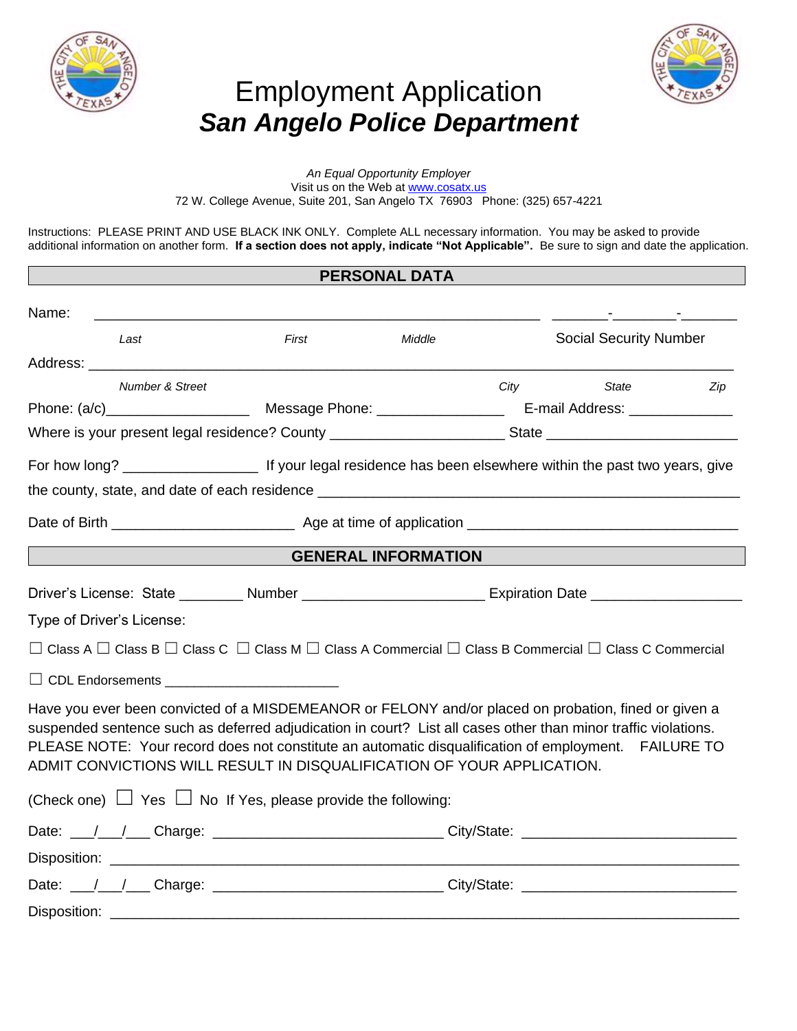

# Employment Application *San Angelo Police Department*



*An Equal Opportunity Employer* Visit us on the Web at [www.cosatx.us](http://www.cosatx.us/) 72 W. College Avenue, Suite 201, San Angelo TX 76903 Phone: (325) 657-4221

Instructions: PLEASE PRINT AND USE BLACK INK ONLY. Complete ALL necessary information. You may be asked to provide additional information on another form. **If a section does not apply, indicate "Not Applicable".** Be sure to sign and date the application.

## **PERSONAL DATA**

| Name: |                            |                                                                                                                                                                                                                                                                                                                                                                                                          |                            | the contract of the contract of the contract of |     |
|-------|----------------------------|----------------------------------------------------------------------------------------------------------------------------------------------------------------------------------------------------------------------------------------------------------------------------------------------------------------------------------------------------------------------------------------------------------|----------------------------|-------------------------------------------------|-----|
|       | Last                       | First                                                                                                                                                                                                                                                                                                                                                                                                    | Middle                     | <b>Social Security Number</b>                   |     |
|       |                            |                                                                                                                                                                                                                                                                                                                                                                                                          |                            |                                                 |     |
|       | <b>Number &amp; Street</b> |                                                                                                                                                                                                                                                                                                                                                                                                          |                            | City State                                      | Zip |
|       |                            |                                                                                                                                                                                                                                                                                                                                                                                                          |                            |                                                 |     |
|       |                            |                                                                                                                                                                                                                                                                                                                                                                                                          |                            |                                                 |     |
|       |                            |                                                                                                                                                                                                                                                                                                                                                                                                          |                            |                                                 |     |
|       |                            |                                                                                                                                                                                                                                                                                                                                                                                                          |                            |                                                 |     |
|       |                            |                                                                                                                                                                                                                                                                                                                                                                                                          |                            |                                                 |     |
|       |                            |                                                                                                                                                                                                                                                                                                                                                                                                          | <b>GENERAL INFORMATION</b> |                                                 |     |
|       |                            |                                                                                                                                                                                                                                                                                                                                                                                                          |                            |                                                 |     |
|       | Type of Driver's License:  |                                                                                                                                                                                                                                                                                                                                                                                                          |                            |                                                 |     |
|       |                            | $\Box$ Class A $\Box$ Class B $\Box$ Class C $\Box$ Class M $\Box$ Class A Commercial $\Box$ Class B Commercial $\Box$ Class C Commercial                                                                                                                                                                                                                                                                |                            |                                                 |     |
|       |                            |                                                                                                                                                                                                                                                                                                                                                                                                          |                            |                                                 |     |
|       |                            | Have you ever been convicted of a MISDEMEANOR or FELONY and/or placed on probation, fined or given a<br>suspended sentence such as deferred adjudication in court? List all cases other than minor traffic violations.<br>PLEASE NOTE: Your record does not constitute an automatic disqualification of employment. FAILURE TO<br>ADMIT CONVICTIONS WILL RESULT IN DISQUALIFICATION OF YOUR APPLICATION. |                            |                                                 |     |
|       |                            | (Check one) $\Box$ Yes $\Box$ No If Yes, please provide the following:                                                                                                                                                                                                                                                                                                                                   |                            |                                                 |     |
|       |                            |                                                                                                                                                                                                                                                                                                                                                                                                          |                            |                                                 |     |
|       |                            |                                                                                                                                                                                                                                                                                                                                                                                                          |                            |                                                 |     |
|       |                            | Date: __/__/___ Charge: ________________________________City/State: ________________________________                                                                                                                                                                                                                                                                                                     |                            |                                                 |     |
|       |                            |                                                                                                                                                                                                                                                                                                                                                                                                          |                            |                                                 |     |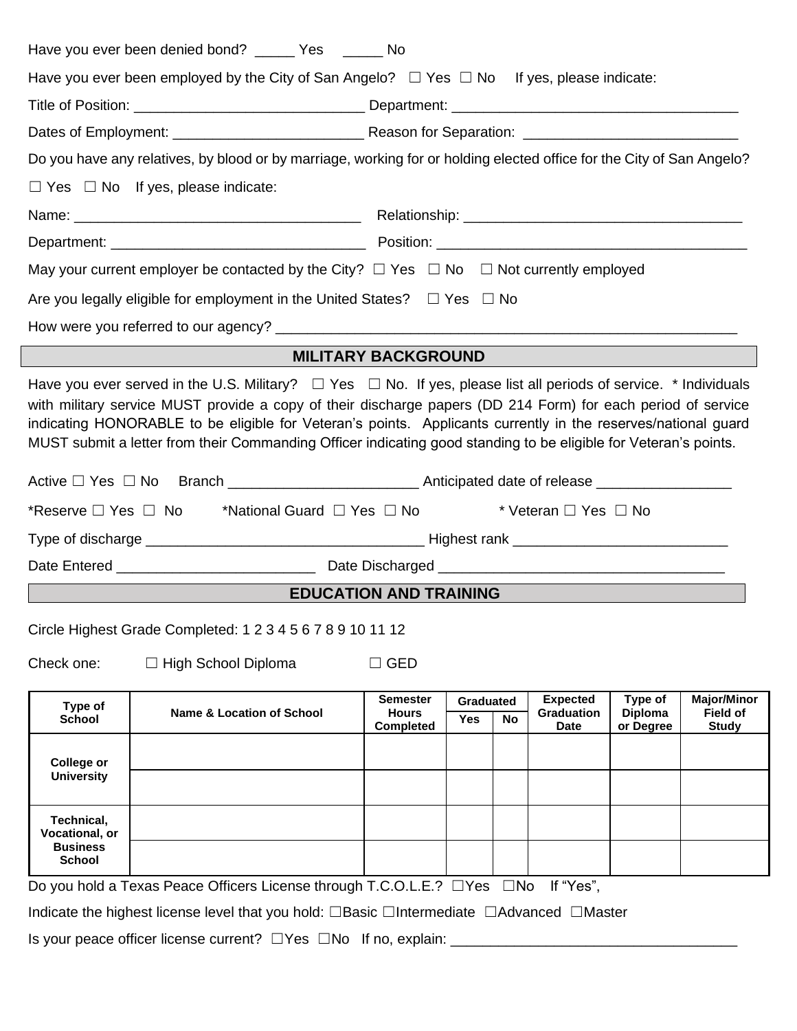|                                        | Do you have any relatives, by blood or by marriage, working for or holding elected office for the City of San Angelo?             |                                                     |                                             |                                              |                                        |                                                |
|----------------------------------------|-----------------------------------------------------------------------------------------------------------------------------------|-----------------------------------------------------|---------------------------------------------|----------------------------------------------|----------------------------------------|------------------------------------------------|
|                                        | $\Box$ Yes $\Box$ No If yes, please indicate:                                                                                     |                                                     |                                             |                                              |                                        |                                                |
|                                        |                                                                                                                                   |                                                     |                                             |                                              |                                        |                                                |
|                                        |                                                                                                                                   |                                                     |                                             |                                              |                                        |                                                |
|                                        | May your current employer be contacted by the City? $\Box$ Yes $\Box$ No $\Box$ Not currently employed                            |                                                     |                                             |                                              |                                        |                                                |
|                                        | Are you legally eligible for employment in the United States? $\Box$ Yes $\Box$ No                                                |                                                     |                                             |                                              |                                        |                                                |
|                                        |                                                                                                                                   |                                                     |                                             |                                              |                                        |                                                |
|                                        |                                                                                                                                   | <b>MILITARY BACKGROUND</b>                          |                                             |                                              |                                        |                                                |
|                                        | MUST submit a letter from their Commanding Officer indicating good standing to be eligible for Veteran's points.                  |                                                     |                                             |                                              |                                        |                                                |
| *Reserve $\Box$ Yes $\Box$ No          | Active □ Yes □ No Branch ________________________Anticipated date of release ______________________<br>*National Guard □ Yes □ No |                                                     |                                             | * Veteran □ Yes □ No                         |                                        |                                                |
|                                        | EDUCATION AND TRAINING                                                                                                            |                                                     |                                             |                                              |                                        |                                                |
|                                        | Circle Highest Grade Completed: 1 2 3 4 5 6 7 8 9 10 11 12                                                                        |                                                     |                                             |                                              |                                        |                                                |
| Check one:                             | □ High School Diploma                                                                                                             | $\Box$ GED                                          |                                             |                                              |                                        |                                                |
| Type of<br><b>School</b>               | <b>Name &amp; Location of School</b>                                                                                              | <b>Semester</b><br><b>Hours</b><br><b>Completed</b> | <b>Graduated</b><br><b>Yes</b><br><b>No</b> | <b>Expected</b><br>Graduation<br><b>Date</b> | Type of<br><b>Diploma</b><br>or Degree | <b>Major/Minor</b><br>Field of<br><b>Study</b> |
| <b>College or</b><br><b>University</b> |                                                                                                                                   |                                                     |                                             |                                              |                                        |                                                |

Indicate the highest license level that you hold: ☐Basic ☐Intermediate ☐Advanced ☐Master

Is your peace officer license current? ☐Yes ☐No If no, explain: \_\_\_\_\_\_\_\_\_\_\_\_\_\_\_\_\_\_\_\_\_\_\_\_\_\_\_\_\_\_\_\_\_\_\_\_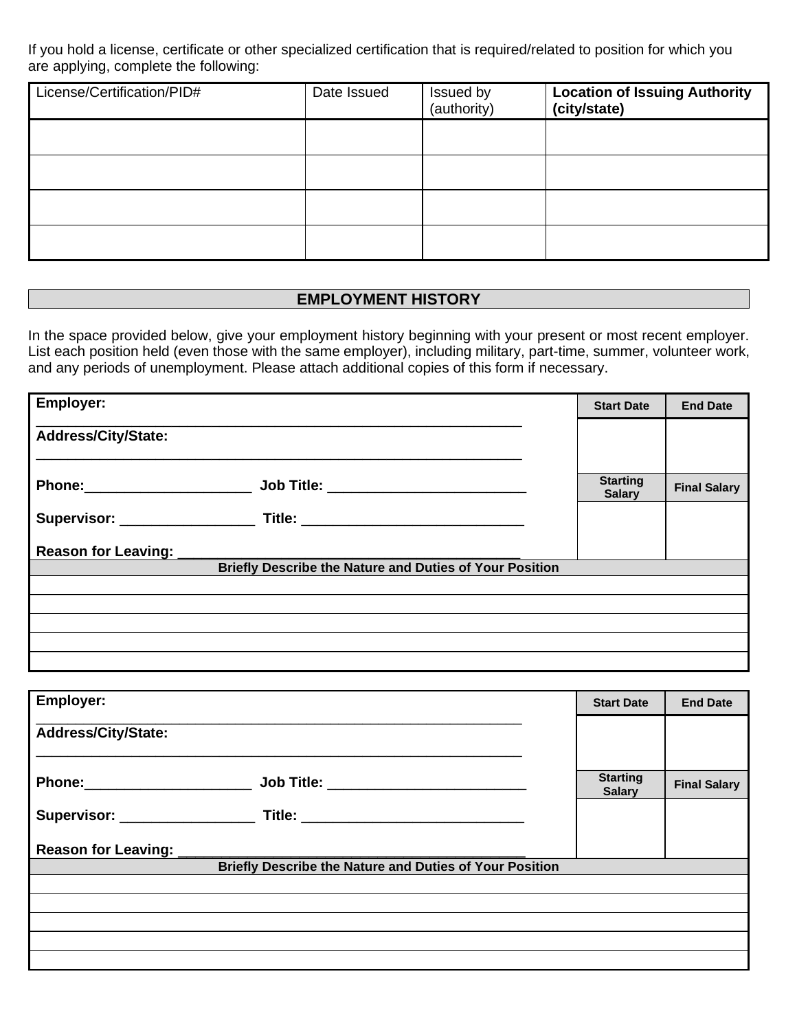If you hold a license, certificate or other specialized certification that is required/related to position for which you are applying, complete the following:

| License/Certification/PID# | Date Issued | Issued by<br>(authority) | <b>Location of Issuing Authority</b><br>(city/state) |
|----------------------------|-------------|--------------------------|------------------------------------------------------|
|                            |             |                          |                                                      |
|                            |             |                          |                                                      |
|                            |             |                          |                                                      |
|                            |             |                          |                                                      |

# **EMPLOYMENT HISTORY**

In the space provided below, give your employment history beginning with your present or most recent employer. List each position held (even those with the same employer), including military, part-time, summer, volunteer work, and any periods of unemployment. Please attach additional copies of this form if necessary.

| <b>Employer:</b>                                        | <b>Start Date</b>                | <b>End Date</b>     |
|---------------------------------------------------------|----------------------------------|---------------------|
| Address/City/State:                                     |                                  |                     |
| Phone:________________________                          | <b>Starting</b><br><b>Salary</b> | <b>Final Salary</b> |
|                                                         |                                  |                     |
|                                                         |                                  |                     |
| Briefly Describe the Nature and Duties of Your Position |                                  |                     |
|                                                         |                                  |                     |
|                                                         |                                  |                     |
|                                                         |                                  |                     |
|                                                         |                                  |                     |
|                                                         |                                  |                     |

| Employer:                                                                | <b>Start Date</b>                | <b>End Date</b>     |
|--------------------------------------------------------------------------|----------------------------------|---------------------|
| <b>Address/City/State:</b>                                               |                                  |                     |
| Job Title: __________________________<br>Phone: ________________________ | <b>Starting</b><br><b>Salary</b> | <b>Final Salary</b> |
|                                                                          |                                  |                     |
| Reason for Leaving:                                                      |                                  |                     |
| Briefly Describe the Nature and Duties of Your Position                  |                                  |                     |
|                                                                          |                                  |                     |
|                                                                          |                                  |                     |
|                                                                          |                                  |                     |
|                                                                          |                                  |                     |
|                                                                          |                                  |                     |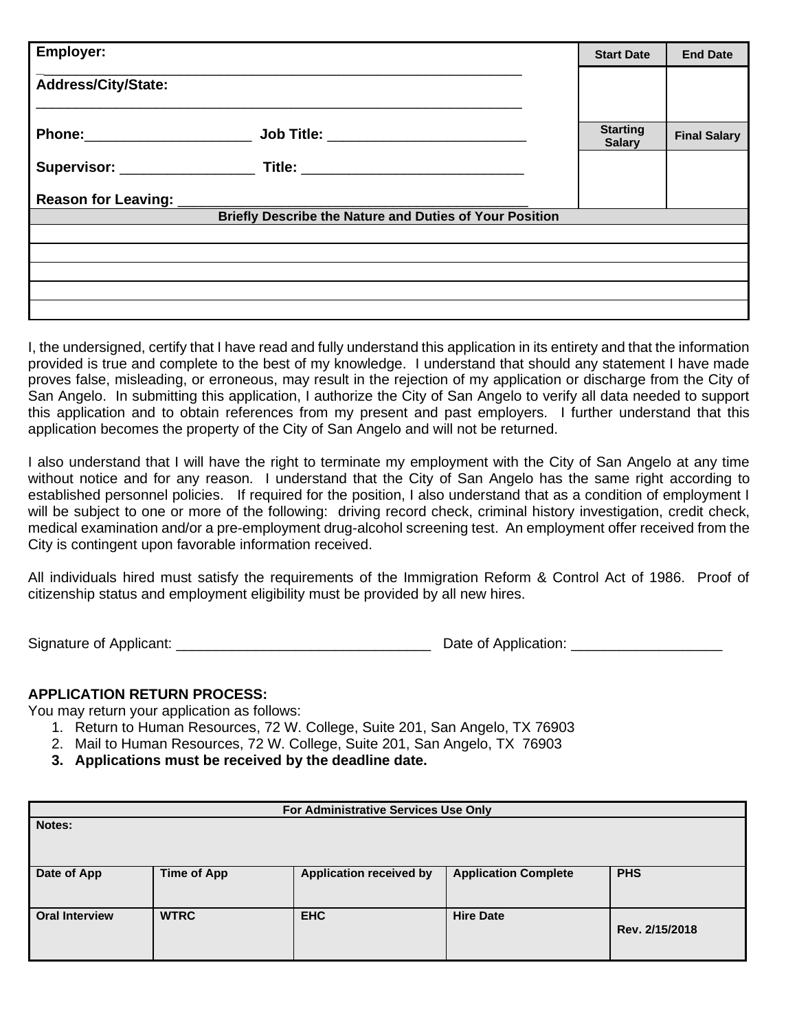| <b>Employer:</b>                                                                 | <b>Start Date</b>                | <b>End Date</b>     |
|----------------------------------------------------------------------------------|----------------------------------|---------------------|
| <b>Address/City/State:</b>                                                       |                                  |                     |
| Phone:_______________________<br><u>Job Title: _____________________________</u> | <b>Starting</b><br><b>Salary</b> | <b>Final Salary</b> |
|                                                                                  |                                  |                     |
| Reason for Leaving: _______________                                              |                                  |                     |
| <b>Briefly Describe the Nature and Duties of Your Position</b>                   |                                  |                     |
|                                                                                  |                                  |                     |
|                                                                                  |                                  |                     |
|                                                                                  |                                  |                     |
|                                                                                  |                                  |                     |
|                                                                                  |                                  |                     |

I, the undersigned, certify that I have read and fully understand this application in its entirety and that the information provided is true and complete to the best of my knowledge. I understand that should any statement I have made proves false, misleading, or erroneous, may result in the rejection of my application or discharge from the City of San Angelo. In submitting this application, I authorize the City of San Angelo to verify all data needed to support this application and to obtain references from my present and past employers. I further understand that this application becomes the property of the City of San Angelo and will not be returned.

I also understand that I will have the right to terminate my employment with the City of San Angelo at any time without notice and for any reason. I understand that the City of San Angelo has the same right according to established personnel policies. If required for the position, I also understand that as a condition of employment I will be subject to one or more of the following: driving record check, criminal history investigation, credit check, medical examination and/or a pre-employment drug-alcohol screening test. An employment offer received from the City is contingent upon favorable information received.

All individuals hired must satisfy the requirements of the Immigration Reform & Control Act of 1986. Proof of citizenship status and employment eligibility must be provided by all new hires.

Signature of Applicant: \_\_\_\_\_\_\_\_\_\_\_\_\_\_\_\_\_\_\_\_\_\_\_\_\_\_\_\_\_\_\_\_ Date of Application: \_\_\_\_\_\_\_\_\_\_\_\_\_\_\_\_\_\_\_

# **APPLICATION RETURN PROCESS:**

You may return your application as follows:

- 1. Return to Human Resources, 72 W. College, Suite 201, San Angelo, TX 76903
- 2. Mail to Human Resources, 72 W. College, Suite 201, San Angelo, TX 76903
- **3. Applications must be received by the deadline date.**

| For Administrative Services Use Only |                    |                                |                             |                |
|--------------------------------------|--------------------|--------------------------------|-----------------------------|----------------|
| Notes:                               |                    |                                |                             |                |
|                                      |                    |                                |                             |                |
| Date of App                          | <b>Time of App</b> | <b>Application received by</b> | <b>Application Complete</b> | <b>PHS</b>     |
|                                      |                    |                                |                             |                |
| <b>Oral Interview</b>                | <b>WTRC</b>        | <b>EHC</b>                     | <b>Hire Date</b>            | Rev. 2/15/2018 |
|                                      |                    |                                |                             |                |
|                                      |                    |                                |                             |                |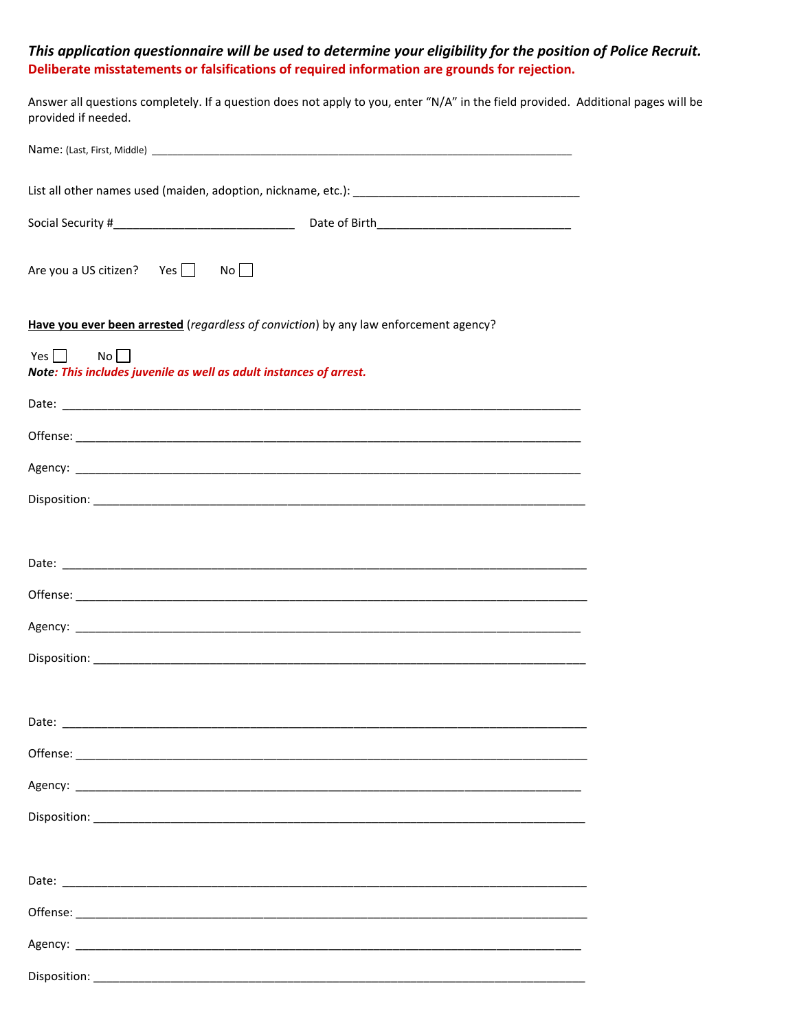# *This application questionnaire will be used to determine your eligibility for the position of Police Recruit.* **Deliberate misstatements or falsifications of required information are grounds for rejection.**

Answer all questions completely. If a question does not apply to you, enter "N/A" in the field provided. Additional pages will be provided if needed.

| Are you a US citizen? Yes $\Box$ No $\Box$                                             |
|----------------------------------------------------------------------------------------|
| Have you ever been arrested (regardless of conviction) by any law enforcement agency?  |
| Yes $\Box$<br>No<br>Note: This includes juvenile as well as adult instances of arrest. |
|                                                                                        |
|                                                                                        |
|                                                                                        |
|                                                                                        |
|                                                                                        |
|                                                                                        |
|                                                                                        |
|                                                                                        |
|                                                                                        |
|                                                                                        |
| Date:                                                                                  |
|                                                                                        |
|                                                                                        |
|                                                                                        |
|                                                                                        |
|                                                                                        |
|                                                                                        |
|                                                                                        |
|                                                                                        |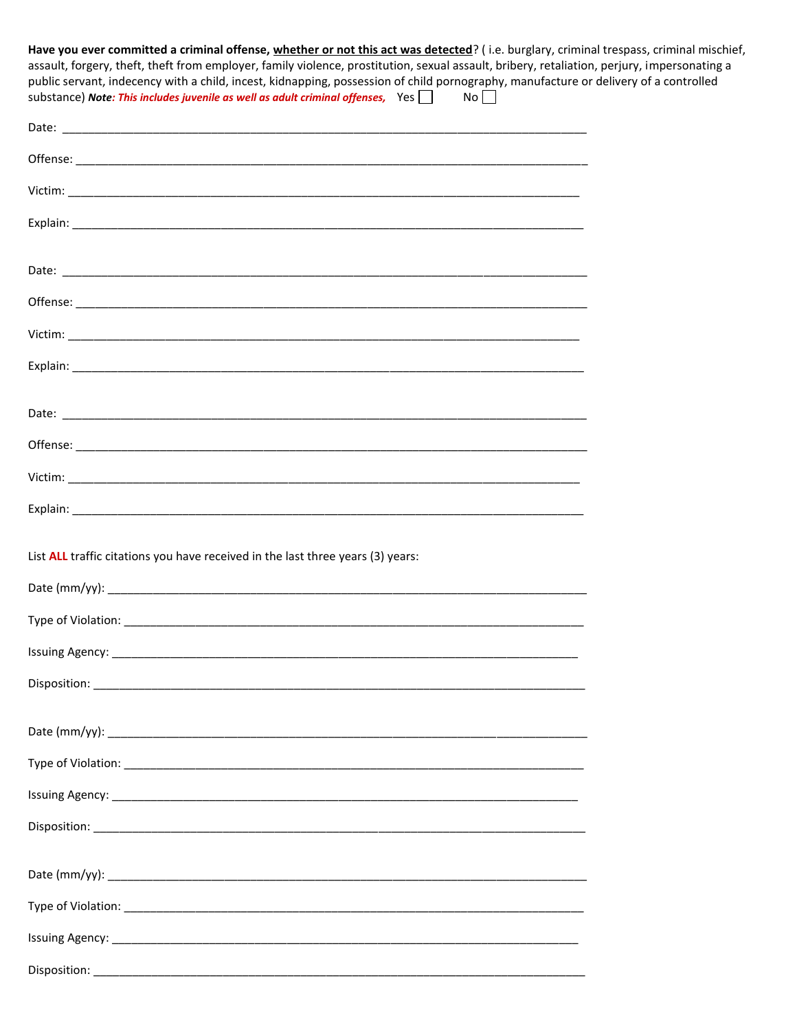| Have you ever committed a criminal offense, whether or not this act was detected? (i.e. burglary, criminal trespass, criminal mischief,                                                                                                                                                                                                                                                                 |  |
|---------------------------------------------------------------------------------------------------------------------------------------------------------------------------------------------------------------------------------------------------------------------------------------------------------------------------------------------------------------------------------------------------------|--|
| assault, forgery, theft, theft from employer, family violence, prostitution, sexual assault, bribery, retaliation, perjury, impersonating a<br>public servant, indecency with a child, incest, kidnapping, possession of child pornography, manufacture or delivery of a controlled<br>substance) Note: This includes juvenile as well as adult criminal offenses, Yes<br>$\overline{N}$ o $\overline{$ |  |
|                                                                                                                                                                                                                                                                                                                                                                                                         |  |
|                                                                                                                                                                                                                                                                                                                                                                                                         |  |
|                                                                                                                                                                                                                                                                                                                                                                                                         |  |
|                                                                                                                                                                                                                                                                                                                                                                                                         |  |
|                                                                                                                                                                                                                                                                                                                                                                                                         |  |
|                                                                                                                                                                                                                                                                                                                                                                                                         |  |
|                                                                                                                                                                                                                                                                                                                                                                                                         |  |
|                                                                                                                                                                                                                                                                                                                                                                                                         |  |
|                                                                                                                                                                                                                                                                                                                                                                                                         |  |
|                                                                                                                                                                                                                                                                                                                                                                                                         |  |
|                                                                                                                                                                                                                                                                                                                                                                                                         |  |
|                                                                                                                                                                                                                                                                                                                                                                                                         |  |
| List ALL traffic citations you have received in the last three years (3) years:                                                                                                                                                                                                                                                                                                                         |  |
|                                                                                                                                                                                                                                                                                                                                                                                                         |  |
|                                                                                                                                                                                                                                                                                                                                                                                                         |  |
|                                                                                                                                                                                                                                                                                                                                                                                                         |  |
|                                                                                                                                                                                                                                                                                                                                                                                                         |  |
|                                                                                                                                                                                                                                                                                                                                                                                                         |  |
|                                                                                                                                                                                                                                                                                                                                                                                                         |  |
|                                                                                                                                                                                                                                                                                                                                                                                                         |  |
|                                                                                                                                                                                                                                                                                                                                                                                                         |  |
|                                                                                                                                                                                                                                                                                                                                                                                                         |  |
|                                                                                                                                                                                                                                                                                                                                                                                                         |  |
|                                                                                                                                                                                                                                                                                                                                                                                                         |  |
| Disnosition:                                                                                                                                                                                                                                                                                                                                                                                            |  |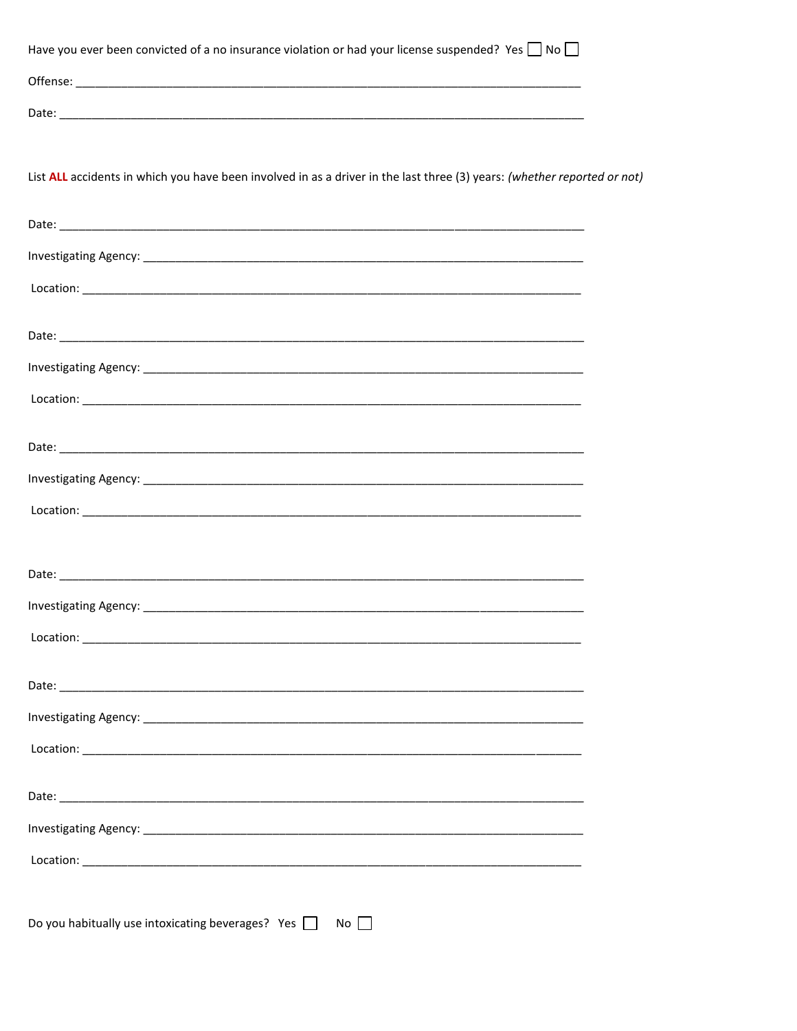| Have you ever been convicted of a no insurance violation or had your license suspended? Yes $\Box$ No $\Box$                                                                                                                                                                                                                                                                          |  |
|---------------------------------------------------------------------------------------------------------------------------------------------------------------------------------------------------------------------------------------------------------------------------------------------------------------------------------------------------------------------------------------|--|
|                                                                                                                                                                                                                                                                                                                                                                                       |  |
|                                                                                                                                                                                                                                                                                                                                                                                       |  |
|                                                                                                                                                                                                                                                                                                                                                                                       |  |
| List ALL accidents in which you have been involved in as a driver in the last three (3) years: (whether reported or not)                                                                                                                                                                                                                                                              |  |
|                                                                                                                                                                                                                                                                                                                                                                                       |  |
|                                                                                                                                                                                                                                                                                                                                                                                       |  |
|                                                                                                                                                                                                                                                                                                                                                                                       |  |
| $\begin{picture}(150,10) \put(0,0){\vector(1,0){100}} \put(15,0){\vector(1,0){100}} \put(15,0){\vector(1,0){100}} \put(15,0){\vector(1,0){100}} \put(15,0){\vector(1,0){100}} \put(15,0){\vector(1,0){100}} \put(15,0){\vector(1,0){100}} \put(15,0){\vector(1,0){100}} \put(15,0){\vector(1,0){100}} \put(15,0){\vector(1,0){100}} \put(15,0){\vector(1,0){100}}$                    |  |
|                                                                                                                                                                                                                                                                                                                                                                                       |  |
|                                                                                                                                                                                                                                                                                                                                                                                       |  |
| $\textbf{Location:}\footnotesize\begin{picture}(10,10) \put(0,0){\vector(1,0){100}} \put(10,0){\vector(1,0){100}} \put(10,0){\vector(1,0){100}} \put(10,0){\vector(1,0){100}} \put(10,0){\vector(1,0){100}} \put(10,0){\vector(1,0){100}} \put(10,0){\vector(1,0){100}} \put(10,0){\vector(1,0){100}} \put(10,0){\vector(1,0){100}} \put(10,0){\vector(1,0){100}} \put(10,0){\vector$ |  |
|                                                                                                                                                                                                                                                                                                                                                                                       |  |
|                                                                                                                                                                                                                                                                                                                                                                                       |  |
|                                                                                                                                                                                                                                                                                                                                                                                       |  |
|                                                                                                                                                                                                                                                                                                                                                                                       |  |
|                                                                                                                                                                                                                                                                                                                                                                                       |  |
|                                                                                                                                                                                                                                                                                                                                                                                       |  |
|                                                                                                                                                                                                                                                                                                                                                                                       |  |
|                                                                                                                                                                                                                                                                                                                                                                                       |  |
|                                                                                                                                                                                                                                                                                                                                                                                       |  |
|                                                                                                                                                                                                                                                                                                                                                                                       |  |
|                                                                                                                                                                                                                                                                                                                                                                                       |  |
| Location: <b>Manual Constitution of the Constitution</b> of the Constitution of the Constitution of the Constitution of the Constitution of the Constitution of the Constitution of the Constitution of the Constitution of the Con                                                                                                                                                   |  |
|                                                                                                                                                                                                                                                                                                                                                                                       |  |
|                                                                                                                                                                                                                                                                                                                                                                                       |  |
|                                                                                                                                                                                                                                                                                                                                                                                       |  |
| $\begin{picture}(150,10) \put(0,0){\vector(1,0){100}} \put(15,0){\vector(1,0){100}} \put(15,0){\vector(1,0){100}} \put(15,0){\vector(1,0){100}} \put(15,0){\vector(1,0){100}} \put(15,0){\vector(1,0){100}} \put(15,0){\vector(1,0){100}} \put(15,0){\vector(1,0){100}} \put(15,0){\vector(1,0){100}} \put(15,0){\vector(1,0){100}} \put(15,0){\vector(1,0){100}}$                    |  |
|                                                                                                                                                                                                                                                                                                                                                                                       |  |
| Do you habitually use intoxicating beverages? Yes<br>$No$ $\vert$                                                                                                                                                                                                                                                                                                                     |  |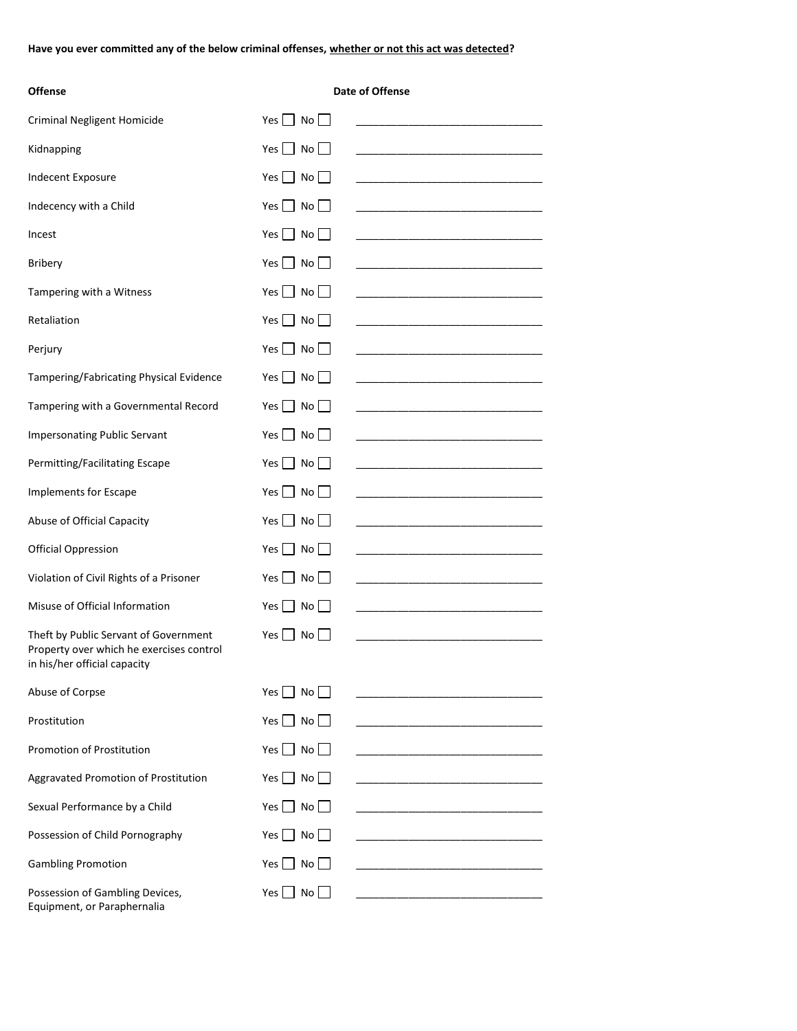**Have you ever committed any of the below criminal offenses, whether or not this act was detected?**

| <b>Offense</b>                                                           |                                          | Date of Offense |
|--------------------------------------------------------------------------|------------------------------------------|-----------------|
| <b>Criminal Negligent Homicide</b>                                       | Yes $\Box$ No $\Box$                     |                 |
| Kidnapping                                                               | Yes $\Box$ No $\Box$                     |                 |
| Indecent Exposure                                                        | Yes No                                   |                 |
| Indecency with a Child                                                   | Yes     No                               |                 |
| Incest                                                                   | $\Box$ No $\Box$<br>Yes I                |                 |
| <b>Bribery</b>                                                           | Yes $\Box$ No $\Box$                     |                 |
| Tampering with a Witness                                                 | Yes No                                   |                 |
| Retaliation                                                              | $Yes \perp No \perp$                     |                 |
| Perjury                                                                  | $Yes \bigsqcup No \bigsqcup$             |                 |
| Tampering/Fabricating Physical Evidence                                  | $Yes \tNo$                               |                 |
| Tampering with a Governmental Record                                     | Yes $\Box$ No $\Box$                     |                 |
| <b>Impersonating Public Servant</b>                                      | Yes $\Box$ No $\Box$                     |                 |
| Permitting/Facilitating Escape                                           | $Yes \tNo$                               |                 |
| Implements for Escape                                                    | $Yes \perp No \perp$                     |                 |
| Abuse of Official Capacity                                               | Yes $\Box$ No $\Box$                     |                 |
| <b>Official Oppression</b>                                               | $Yes \perp No \perp$                     |                 |
| Violation of Civil Rights of a Prisoner                                  | $\blacksquare$ No<br>Yes I               |                 |
| Misuse of Official Information                                           | $Yes \nightharpoonup No \nightharpoonup$ |                 |
| Theft by Public Servant of Government                                    | Yes $\Box$ No $\Box$                     |                 |
| Property over which he exercises control<br>in his/her official capacity |                                          |                 |
| Abuse of Corpse                                                          | Yes  <br>  No                            |                 |
| Prostitution                                                             | Yes $\Box$ No $\Box$                     |                 |
| <b>Promotion of Prostitution</b>                                         | $\blacksquare$ No<br>Yes                 |                 |
| Aggravated Promotion of Prostitution                                     | $\Box$ No $\Box$<br>Yes                  |                 |
| Sexual Performance by a Child                                            | Yes No                                   |                 |
| Possession of Child Pornography                                          | $Yes \bigsqcup No$                       |                 |
| <b>Gambling Promotion</b>                                                | $\Box$ No<br>Yes                         |                 |
| Possession of Gambling Devices,<br>Equipment, or Paraphernalia           | $Yes \nightharpoonup No \nightharpoonup$ |                 |